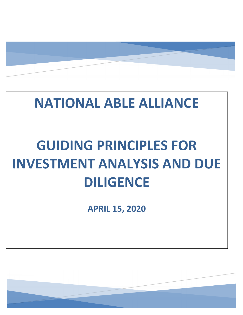# **NATIONAL ABLE ALLIANCE**

# **GUIDING PRINCIPLES FOR INVESTMENT ANALYSIS AND DUE DILIGENCE**

**APRIL 15, 2020** 

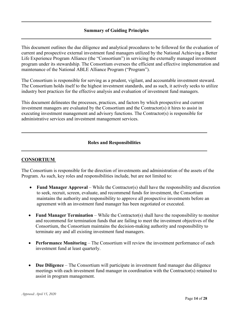This document outlines the due diligence and analytical procedures to be followed for the evaluation of current and prospective external investment fund managers utilized by the National Achieving a Better Life Experience Program Alliance (the "Consortium") in servicing the externally managed investment program under its stewardship. The Consortium oversees the efficient and effective implementation and maintenance of the National ABLE Alliance Program ("Program").

The Consortium is responsible for serving as a prudent, vigilant, and accountable investment steward. The Consortium holds itself to the highest investment standards, and as such, it actively seeks to utilize industry best practices for the effective analysis and evaluation of investment fund managers.

This document delineates the processes, practices, and factors by which prospective and current investment managers are evaluated by the Consortium and the Contractor(s) it hires to assist in executing investment management and advisory functions. The Contractor(s) is responsible for administrative services and investment management services.

#### **Roles and Responsibilities**

#### **CONSORTIUM**

The Consortium is responsible for the direction of investments and administration of the assets of the Program. As such, key roles and responsibilities include, but are not limited to:

- **Fund Manager Approval** While the Contractor(s) shall have the responsibility and discretion to seek, recruit, screen, evaluate, and recommend funds for investment, the Consortium maintains the authority and responsibility to approve all prospective investments before an agreement with an investment fund manager has been negotiated or executed.
- **Fund Manager Termination** While the Contractor(s) shall have the responsibility to monitor and recommend for termination funds that are failing to meet the investment objectives of the Consortium, the Consortium maintains the decision-making authority and responsibility to terminate any and all existing investment fund managers.
- **Performance Monitoring** The Consortium will review the investment performance of each investment fund at least quarterly.
- **Due Diligence** The Consortium will participate in investment fund manager due diligence meetings with each investment fund manager in coordination with the Contractor(s) retained to assist in program management.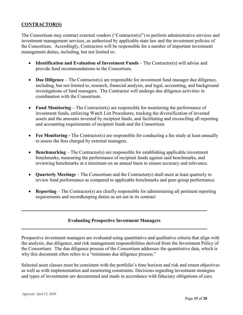#### **CONTRACTOR(S)**

The Consortium may contract external vendors ("Contractor(s)") to perform administrative services and investment management services, as authorized by applicable state law and the investment policies of the Consortium. Accordingly, Contractors will be responsible for a number of important investment management duties, including, but not limited to:

- **Identification and Evaluation of Investment Funds** The Contractor(s) will advise and provide fund recommendations to the Consortium.
- **Due Diligence** The Contractor(s) are responsible for investment fund manager due diligence, including, but not limited to, research, financial analysis, and legal, accounting, and background investigations of fund managers. The Contractor will undergo due diligence activities in coordination with the Consortium.
- **Fund Monitoring** The Contractor(s) are responsible for monitoring the performance of investment funds, enforcing Watch List Procedures, tracking the diversification of invested assets and the amounts invested by recipient funds, and facilitating and reconciling all reporting and accounting requirements of recipient funds and the Consortium.
- **Fee Monitoring -** The Contractor(s) are responsible for conducting a fee study at least annually to assess the fees charged by external managers.
- **Benchmarking** The Contractor(s) are responsible for establishing applicable investment benchmarks, measuring the performance of recipient funds against said benchmarks, and reviewing benchmarks at a minimum on an annual basis to ensure accuracy and relevance.
- **Quarterly Meetings** The Consortium and the Contractor(s) shall meet at least quarterly to review fund performance as compared to applicable benchmarks and peer-group performance.
- **Reporting** The Contractor(s) are chiefly responsible for administering all pertinent reporting requirements and recordkeeping duties as set out in its contract

#### **Evaluating Prospective Investment Managers**

Prospective investment managers are evaluated using quantitative and qualitative criteria that align with the analysis, due diligence, and risk management responsibilities derived from the Investment Policy of the Consortium. The due diligence process of the Consortium addresses the quantitative data, which is why this document often refers to a "minimum due diligence process."

Selected asset classes must be consistent with the portfolio's time horizon and risk and return objectives as well as with implementation and monitoring constraints. Decisions regarding investment strategies and types of investments are documented and made in accordance with fiduciary obligations of care.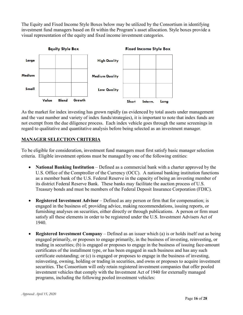The Equity and Fixed Income Style Boxes below may be utilized by the Consortium in identifying investment fund managers based on fit within the Program's asset allocation. Style boxes provide a visual representation of the equity and fixed income investment categories.



As the market for index investing has grown rapidly (as evidenced by total assets under management and the vast number and variety of index funds/strategies), it is important to note that index funds are not exempt from the due diligence process. Each index vehicle goes through the same screenings in regard to qualitative and quantitative analysis before being selected as an investment manager.

#### **MANAGER SELECTION CRITERIA**

To be eligible for consideration, investment fund managers must first satisfy basic manager selection criteria. Eligible investment options must be managed by one of the following entities:

- **National Banking Institution** Defined as a commercial bank with a charter approved by the U.S. Office of the Comptroller of the Currency (OCC). A national banking institution functions as a member bank of the U.S. Federal Reserve in the capacity of being an investing member of its district Federal Reserve Bank. These banks may facilitate the auction process of U.S. Treasury bonds and must be members of the Federal Deposit Insurance Corporation (FDIC).
- **Registered Investment Advisor** Defined as any person or firm that for compensation; is engaged in the business of; providing advice, making recommendations, issuing reports, or furnishing analyses on securities, either directly or through publications. A person or firm must satisfy all these elements in order to be registered under the U.S. Investment Advisers Act of 1940.
- **Registered Investment Company** Defined as an issuer which (a) is or holds itself out as being engaged primarily, or proposes to engage primarily, in the business of investing, reinvesting, or trading in securities; (b) is engaged or proposes to engage in the business of issuing face-amount certificates of the installment type, or has been engaged in such business and has any such certificate outstanding; or (c) is engaged or proposes to engage in the business of investing, reinvesting, owning, holding or trading in securities, and owns or proposes to acquire investment securities. The Consortium will only retain registered investment companies that offer pooled investment vehicles that comply with the Investment Act of 1940 for externally managed programs, including the following pooled investment vehicles: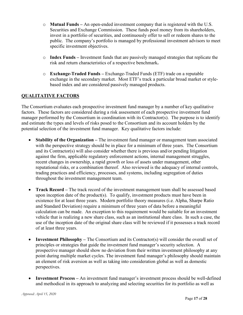- o **Mutual Funds –** An open-ended investment company that is registered with the U.S. Securities and Exchange Commission. These funds pool money from its shareholders, invest in a portfolio of securities, and continuously offer to sell or redeem shares to the public. The company's portfolio is managed by professional investment advisors to meet specific investment objectives.
- o **Index Funds –** Investment funds that are passively managed strategies that replicate the risk and return characteristics of a respective benchmark**.**
- o **Exchange-Traded Funds –** Exchange-Traded Funds (ETF) trade on a reputable exchange in the secondary market. Most ETF's track a particular broad market or stylebased index and are considered passively managed products.

# **QUALITATIVE FACTORS**

The Consortium evaluates each prospective investment fund manager by a number of key qualitative factors. These factors are considered during a risk assessment of each prospective investment fund manager performed by the Consortium in coordination with its Contractor(s). The purpose is to identify and estimate the types and levels of risks posed to the Consortium and its account holders by the potential selection of the investment fund manager. Key qualitative factors include:

- **Stability of the Organization** The investment fund manager or management team associated with the perspective strategy should be in place for a minimum of three years. The Consortium and its Contractor(s) will also consider whether there is previous and/or pending litigation against the firm, applicable regulatory enforcement actions, internal management struggles, recent changes in ownership, a rapid growth or loss of assets under management, other reputational risks, or a combination thereof. Also reviewed is the adequacy of internal controls, trading practices and efficiency, processes, and systems, including segregation of duties throughout the investment management team.
- **Track Record** The track record of the investment management team shall be assessed based upon inception date of the product(s). To qualify, investment products must have been in existence for at least three years. Modern portfolio theory measures (i.e. Alpha, Sharpe Ratio and Standard Deviation) require a minimum of three years of data before a meaningful calculation can be made. An exception to this requirement would be suitable for an investment vehicle that is realizing a new share class, such as an institutional share class. In such a case, the use of the inception date of the original share class will be reviewed if it possesses a track record of at least three years.
- **Investment Philosophy –** The Consortium and its Contractor(s) will consider the overall set of principles or strategies that guide the investment fund manager's security selection. A prospective manager should show no deviation from their written investment philosophy at any point during multiple market cycles. The investment fund manager's philosophy should maintain an element of risk aversion as well as taking into consideration global as well as domestic perspectives.
- **Investment Process –** An investment fund manager's investment process should be well-defined and methodical in its approach to analyzing and selecting securities for its portfolio as well as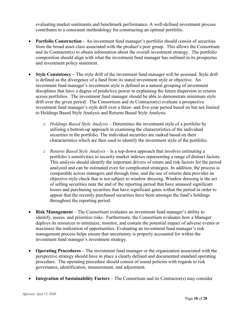evaluating market sentiments and benchmark performance. A well-defined investment process contributes to a consistent methodology for constructing an optimal portfolio.

- **Portfolio Construction –** An investment fund manager's portfolio should consist of securities from the broad asset class associated with the product's peer group. This allows the Consortium and its Contractor(s) to obtain information about the overall investment strategy. The portfolio composition should align with what the investment fund manager has outlined in its prospectus and investment policy statement.
- **Style Consistency –** The style drift of the investment fund manager will be assessed. Style drift is defined as the divergence of a fund from its stated investment style or objective. An investment fund manager's investment style is defined as a natural grouping of investment disciplines that have a degree of predictive power in explaining the future dispersion in returns across portfolios. The investment fund manager should be able to demonstrate minimum style drift over the given period. The Consortium and its Contractor(s) evaluate a prospective investment fund manager's style drift over a three- and five-year period based on but not limited to Holdings Based Style Analysis and Returns Based Style Analysis.
	- o *Holdings Based Style Analysis* Determines the investment style of a portfolio by utilizing a bottom-up approach in examining the characteristics of the individual securities in the portfolio. The individual securities are ranked based on their characteristics which are then used to identify the investment style of the portfolio.
	- o *Returns Based Style Analysis* Is a top-down approach that involves estimating a portfolio's sensitivities to security market indexes representing a range of distinct factors. This analysis should identify the important drivers of return and risk factors for the period analyzed and can be estimated even for complicated strategies. In addition, the process is comparable across managers and through time, and the use of returns data provides an objective style check that is not subject to window dressing. Window dressing is the act of selling securities near the end of the reporting period that have amassed significant losses and purchasing securities that have significant gains within the period in order to appear that the recently purchased securities have been amongst the fund's holdings throughout the reporting period.
- **Risk Management** The Consortium evaluates an investment fund manager's ability to identify, assess, and prioritize risks. Furthermore, the Consortium evaluates how a Manager deploys its resources to minimize, monitor, and contain the potential impact of adverse events or maximize the realization of opportunities. Evaluating an investment fund manager's risk management process helps ensure that uncertainty is properly accounted for within the investment fund manager's investment strategy.
- **Operating Procedures –** The investment fund manager or the organization associated with the perspective strategy should have in place a clearly defined and documented standard operating procedure. The operating procedure should consist of sound policies with regards to risk governance, identification, measurement, and adjustment.
- **Integration of Sustainability Factors** The Consortium and its Contractor(s) may consider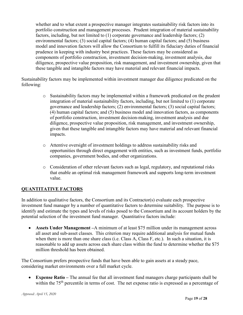whether and to what extent a prospective manager integrates sustainability risk factors into its portfolio construction and management processes. Prudent integration of material sustainability factors, including, but not limited to (1) corporate governance and leadership factors; (2) environmental factors; (3) social capital factors; (4) human capital factors; and (5) business model and innovation factors will allow the Consortium to fulfill its fiduciary duties of financial prudence in keeping with industry best practices. These factors may be considered as components of portfolio construction, investment decision-making, investment analysis, due diligence, prospective value proposition, risk management, and investment ownership, given that these tangible and intangible factors may have material and relevant financial impacts.

Sustainability factors may be implemented within investment manager due diligence predicated on the following:

- o Sustainability factors may be implemented within a framework predicated on the prudent integration of material sustainability factors, including, but not limited to (1) corporate governance and leadership factors; (2) environmental factors; (3) social capital factors; (4) human capital factors; and (5) business model and innovation factors, as components of portfolio construction, investment decision-making, investment analysis and due diligence, prospective value proposition, risk management, and investment ownership, given that these tangible and intangible factors may have material and relevant financial impacts.
- o Attentive oversight of investment holdings to address sustainability risks and opportunities through direct engagement with entities, such as investment funds, portfolio companies, government bodies, and other organizations.
- o Consideration of other relevant factors such as legal, regulatory, and reputational risks that enable an optimal risk management framework and supports long-term investment value.

# **QUANTITATIVE FACTORS**

In addition to qualitative factors, the Consortium and its Contractor(s) evaluate each prospective investment fund manager by a number of quantitative factors to determine suitability. The purpose is to identify and estimate the types and levels of risks posed to the Consortium and its account holders by the potential selection of the investment fund manager. Quantitative factors include:

• **Assets Under Management** – A minimum of at least \$75 million under its management across all asset and sub-asset classes. This criterion may require additional analysis for mutual funds when there is more than one share class (i.e. Class A, Class F, etc.). In such a situation, it is reasonable to add up assets across each share class within the fund to determine whether the \$75 million threshold has been obtained.

The Consortium prefers prospective funds that have been able to gain assets at a steady pace, considering market environments over a full market cycle.

• **Expense Ratio –** The annual fee that all investment fund managers charge participants shall be within the 75<sup>th</sup> percentile in terms of cost. The net expense ratio is expressed as a percentage of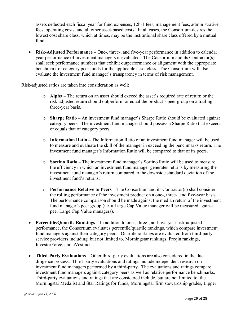assets deducted each fiscal year for fund expenses, 12b-1 fees, management fees, administrative fees, operating costs, and all other asset-based costs. In all cases, the Consortium desires the lowest cost share class, which at times, may be the institutional share class offered by a mutual fund.

• **Risk-Adjusted Performance –** One-, three-, and five-year performance in addition to calendar year performance of investment managers is evaluated. The Consortium and its Contractor(s) shall seek performance numbers that exhibit outperformance or alignment with the appropriate benchmark or category peer funds for the applicable asset class. The Consortium will also evaluate the investment fund manager's transparency in terms of risk management.

Risk-adjusted ratios are taken into consideration as well:

- o **Alpha –** The return on an asset should exceed the asset's required rate of return or the risk-adjusted return should outperform or equal the product's peer group on a trailing three-year basis.
- o **Sharpe Ratio –** An investment fund manager's Sharpe Ratio should be evaluated against category peers. The investment fund manager should possess a Sharpe Ratio that exceeds or equals that of category peers.
- o **Information Ratio –** The Information Ratio of an investment fund manager will be used to measure and evaluate the skill of the manager in exceeding the benchmarks return. The investment fund manager's Information Ratio will be compared to that of its peers.
- o **Sortino Ratio –** The investment fund manager's Sortino Ratio will be used to measure the efficiency in which an investment fund manager generates returns by measuring the investment fund manager's return compared to the downside standard deviation of the investment fund's returns.
- o **Performance Relative to Peers –** The Consortium and its Contractor(s) shall consider the rolling performance of the investment product on a one-, three-, and five-year basis. The performance comparison should be made against the median return of the investment fund manager's peer group (i.e. a Large Cap Value manager will be measured against peer Large Cap Value managers).
- **Percentile/Quartile Rankings** In addition to one-, three-, and five-year risk-adjusted performance, the Consortium evaluates percentile/quartile rankings, which compare investment fund managers against their category peers. Quartile rankings are evaluated from third-party service providers including, but not limited to, Morningstar rankings, Preqin rankings, InvestorForce, and eVestment.
- **Third-Party Evaluations** Other third-party evaluations are also considered in the due diligence process. Third-party evaluations and ratings include independent research on investment fund managers performed by a third-party. The evaluations and ratings compare investment fund managers against category peers as well as relative performance benchmarks. Third-party evaluations and ratings that are considered include, but are not limited to, the Morningstar Medalist and Star Ratings for funds, Morningstar firm stewardship grades, Lipper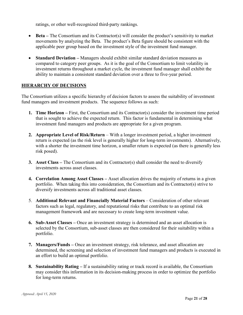ratings, or other well-recognized third-party rankings.

- **Beta** The Consortium and its Contractor(s) will consider the product's sensitivity to market movements by analyzing the Beta. The product's Beta figure should be consistent with the applicable peer group based on the investment style of the investment fund manager.
- **Standard Deviation –** Managers should exhibit similar standard deviation measures as compared to category peer groups.As it is the goal of the Consortium to limit volatility in investment returns throughout a market cycle, the investment fund manager shall exhibit the ability to maintain a consistent standard deviation over a three to five-year period.

#### **HIERARCHY OF DECISIONS**

The Consortium utilizes a specific hierarchy of decision factors to assess the suitability of investment fund managers and investment products. The sequence follows as such:

- **1. Time Horizon –** First, the Consortium and its Contractor(s) consider the investment time period that is sought to achieve the expected return. This factor is fundamental in determining what investment fund managers and products are appropriate for a given program.
- **2. Appropriate Level of Risk/Return** With a longer investment period, a higher investment return is expected (as the risk level is generally higher for long-term investments). Alternatively, with a shorter the investment time horizon, a smaller return is expected (as there is generally less risk posed).
- **3. Asset Class –** The Consortium and its Contractor(s) shall consider the need to diversify investments across asset classes.
- **4. Correlation Among Asset Classes –** Asset allocation drives the majority of returns in a given portfolio. When taking this into consideration, the Consortium and its Contractor(s) strive to diversify investments across all traditional asset classes.
- 5. **Additional Relevant and Financially Material Factors** Consideration of other relevant factors such as legal, regulatory, and reputational risks that contribute to an optimal risk management framework and are necessary to create long-term investment value.
- **6. Sub-Asset Classes –** Once an investment strategy is determined and an asset allocation is selected by the Consortium, sub-asset classes are then considered for their suitability within a portfolio.
- **7. Managers/Funds –** Once an investment strategy, risk tolerance, and asset allocation are determined, the screening and selection of investment fund managers and products is executed in an effort to build an optimal portfolio.
- **8. Sustainability Rating –** If a sustainability rating or track record is available, the Consortium may consider this information in its decision-making process in order to optimize the portfolio for long-term returns.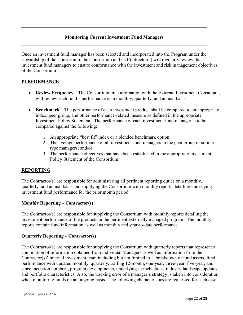#### **Monitoring Current Investment Fund Managers**

Once an investment fund manager has been selected and incorporated into the Program under the stewardship of the Consortium, the Consortium and its Contractor(s) will regularly review the investment fund managers to ensure conformance with the investment and risk management objectives of the Consortium.

#### **PERFORMANCE**

- **Review Frequency** The Consortium, in coordination with the External Investment Consultant, will review each fund's performance on a monthly, quarterly, and annual basis.
- **Benchmark** The performance of each investment product shall be compared to an appropriate index, peer group, and other performance-related measure as defined in the appropriate Investment Policy Statement. The performance of each investment fund manager is to be compared against the following:
	- 1. An appropriate "best fit" index or a blended benchmark option;
	- 2. The average performance of all investment fund managers in the peer group of similar type managers; and/or
	- 3. The performance objectives that have been established in the appropriate Investment Policy Statement of the Consortium.

#### **REPORTING**

The Contractor(s) are responsible for administering all pertinent reporting duties on a monthly, quarterly, and annual basis and supplying the Consortium with monthly reports detailing underlying investment fund performance for the prior month period.

#### **Monthly Reporting – Contractor(s)**

The Contractor(s) are responsible for supplying the Consortium with monthly reports detailing the investment performance of the products in the pertinent externally managed program. The monthly reports contain fund information as well as monthly and year-to-date performance.

#### **Quarterly Reporting – Contractor(s)**

The Contractor(s) are responsible for supplying the Consortium with quarterly reports that represent a compilation of information obtained from individual Managers as well as information from the Contractor(s)' internal investment team including but not limited to, a breakdown of fund assets, fund performance with updated monthly, quarterly, trailing 12-month, one-year, three-year, five-year, and since inception numbers, program developments, underlying fee schedules, industry landscape updates, and portfolio characteristics. Also, the tracking error of a manager's strategy is taken into consideration when monitoring funds on an ongoing basis. The following characteristics are requested for each asset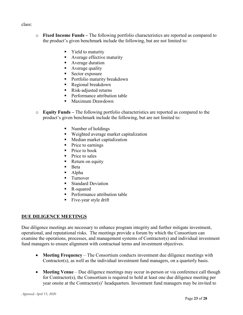#### class:

- o **Fixed Income Funds –** The following portfolio characteristics are reported as compared to the product's given benchmark include the following, but are not limited to:
	- Yield to maturity
	- Average effective maturity
	- **Average duration**
	- **Average quality**
	- Sector exposure
	- Portfolio maturity breakdown<br>■ Regional breakdown
	- Regional breakdown
	- Risk-adjusted returns
	- **Performance attribution table**
	- Maximum Drawdown
- o **Equity Funds –** The following portfolio characteristics are reported as compared to the product's given benchmark include the following, but are not limited to:
	- Number of holdings
	- Weighted average market capitalization
	- **Median market capitalization**
	- Price to earnings
	- $\blacksquare$  Price to book
	- $\blacksquare$  Price to sales
	- Return on equity
	- $Beta$
	- Alpha
	- **Turnover**
	- Standard Deviation
	- R-squared
	- Performance attribution table
	- $\blacksquare$  Five-year style drift

#### **DUE DILIGENCE MEETINGS**

Due diligence meetings are necessary to enhance program integrity and further mitigate investment, operational, and reputational risks. The meetings provide a forum by which the Consortium can examine the operations, processes, and management systems of Contractor(s) and individual investment fund managers to ensure alignment with contractual terms and investment objectives.

- **Meeting Frequency** The Consortium conducts investment due diligence meetings with Contractor(s), as well as the individual investment fund managers, on a quarterly basis.
- **Meeting Venue** Due diligence meetings may occur in-person or via conference call though for Contractor(s), the Consortium is required to hold at least one due diligence meeting per year onsite at the Contractor(s)' headquarters. Investment fund managers may be invited to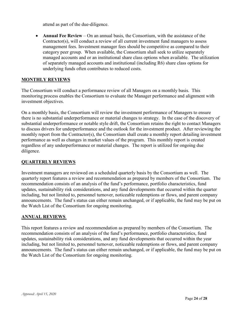attend as part of the due-diligence.

• **Annual Fee Review** – On an annual basis, the Consortium, with the assistance of the Contractor(s), will conduct a review of all current investment fund managers to assess management fees. Investment manager fees should be competitive as compared to their category peer group. When available, the Consortium shall seek to utilize separately managed accounts and or an institutional share class options when available. The utilization of separately managed accounts and institutional (including R6) share class options for underlying funds often contributes to reduced costs.

#### **MONTHLY REVIEWS**

The Consortium will conduct a performance review of all Managers on a monthly basis. This monitoring process enables the Consortium to evaluate the Manager performance and alignment with investment objectives.

On a monthly basis, the Consortium will review the investment performance of Managers to ensure there is no substantial underperformance or material changes to strategy. In the case of the discovery of substantial underperformance or notable style drift, the Consortium retains the right to contact Managers to discuss drivers for underperformance and the outlook for the investment product. After reviewing the monthly report from the Contractor(s), the Consortium shall create a monthly report detailing investment performance as well as changes in market values of the program. This monthly report is created regardless of any underperformance or material changes. The report is utilized for ongoing due diligence.

#### **QUARTERLY REVIEWS**

Investment managers are reviewed on a scheduled quarterly basis by the Consortium as well. The quarterly report features a review and recommendation as prepared by members of the Consortium. The recommendation consists of an analysis of the fund's performance, portfolio characteristics, fund updates, sustainability risk considerations, and any fund developments that occurred within the quarter including, but not limited to, personnel turnover, noticeable redemptions or flows, and parent company announcements. The fund's status can either remain unchanged, or if applicable, the fund may be put on the Watch List of the Consortium for ongoing monitoring.

#### **ANNUAL REVIEWS**

This report features a review and recommendation as prepared by members of the Consortium. The recommendation consists of an analysis of the fund's performance, portfolio characteristics, fund updates, sustainability risk considerations, and any fund developments that occurred within the year including, but not limited to, personnel turnover, noticeable redemptions or flows, and parent company announcements. The fund's status can either remain unchanged, or if applicable, the fund may be put on the Watch List of the Consortium for ongoing monitoring.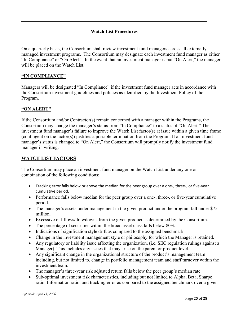#### **Watch List Procedures**

On a quarterly basis, the Consortium shall review investment fund managers across all externally managed investment programs. The Consortium may designate each investment fund manager as either "In Compliance" or "On Alert." In the event that an investment manager is put "On Alert," the manager will be placed on the Watch List.

#### **"IN COMPLIANCE"**

Managers will be designated "In Compliance" if the investment fund manager acts in accordance with the Consortium investment guidelines and policies as identified by the Investment Policy of the Program.

#### **"ON ALERT"**

If the Consortium and/or Contractor(s) remain concerned with a manager within the Programs, the Consortium may change the manager's status from "In Compliance" to a status of "On Alert." The investment fund manager's failure to improve the Watch List factor(s) at issue within a given time frame (contingent on the factor(s)) justifies a possible termination from the Program. If an investment fund manager's status is changed to "On Alert," the Consortium will promptly notify the investment fund manager in writing.

#### **WATCH LIST FACTORS**

The Consortium may place an investment fund manager on the Watch List under any one or combination of the following conditions:

- Tracking error falls below or above the median for the peer group over a one-, three-, or five-year cumulative period.
- Performance falls below median for the peer group over a one-, three-, or five-year cumulative period.
- The manager's assets under management in the given product under the program fall under \$75 million.
- Excessive out-flows/drawdowns from the given product as determined by the Consortium.
- The percentage of securities within the broad asset class falls below 80%.
- Indications of signification style drift as compared to the assigned benchmark.
- Change in the investment management style or philosophy for which the Manager is retained.
- Any regulatory or liability issue affecting the organization, (i.e. SEC regulation rulings against a Manager). This includes any issues that may arise on the parent or product level.
- Any significant change in the organizational structure of the product's management team including, but not limited to, change in portfolio management team and staff turnover within the investment team.
- The manager's three-year risk adjusted return falls below the peer group's median rate.
- Sub-optimal investment risk characteristics, including but not limited to Alpha, Beta, Sharpe ratio, Information ratio, and tracking error as compared to the assigned benchmark over a given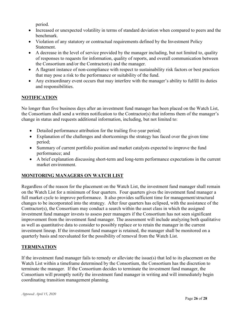period.

- Increased or unexpected volatility in terms of standard deviation when compared to peers and the benchmark.
- Violation of any statutory or contractual requirements defined by the Investment Policy Statement.
- A decrease in the level of service provided by the manager including, but not limited to, quality of responses to requests for information, quality of reports, and overall communication between the Consortium and/or the Contractor(s) and the manager.
- A flagrant instance of non-compliance with respect to sustainability risk factors or best practices that may pose a risk to the performance or suitability of the fund.
- Any extraordinary event occurs that may interfere with the manager's ability to fulfill its duties and responsibilities.

# **NOTIFICATION**

No longer than five business days after an investment fund manager has been placed on the Watch List, the Consortium shall send a written notification to the Contractor(s) that informs them of the manager's change in status and requests additional information, including, but not limited to:

- Detailed performance attribution for the trailing five-year period;
- Explanation of the challenges and shortcomings the strategy has faced over the given time period;
- Summary of current portfolio position and market catalysts expected to improve the fund performance; and
- A brief explanation discussing short-term and long-term performance expectations in the current market environment.

# **MONITORING MANAGERS ON WATCH LIST**

Regardless of the reason for the placement on the Watch List, the investment fund manager shall remain on the Watch List for a minimum of four quarters. Four quarters gives the investment fund manager a full market cycle to improve performance. It also provides sufficient time for management/structural changes to be incorporated into the strategy. After four quarters has eclipsed, with the assistance of the Contractor(s), the Consortium may conduct a search within the asset class in which the assigned investment fund manager invests to assess peer managers if the Consortium has not seen significant improvement from the investment fund manager. The assessment will include analyzing both qualitative as well as quantitative data to consider to possibly replace or to retain the manager in the current investment lineup. If the investment fund manager is retained, the manager shall be monitored on a quarterly basis and reevaluated for the possibility of removal from the Watch List.

# **TERMINATION**

If the investment fund manager fails to remedy or alleviate the issue(s) that led to its placement on the Watch List within a timeframe determined by the Consortium, the Consortium has the discretion to terminate the manager. If the Consortium decides to terminate the investment fund manager, the Consortium will promptly notify the investment fund manager in writing and will immediately begin coordinating transition management planning.